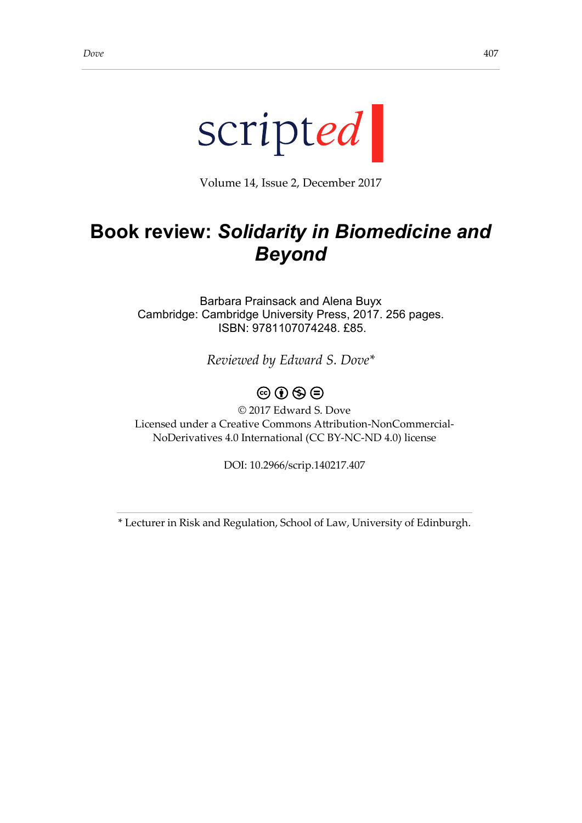

Volume 14, Issue 2, December 2017

## **Book review:** *Solidarity in Biomedicine and Beyond*

Barbara Prainsack and Alena Buyx Cambridge: Cambridge University Press, 2017. 256 pages. ISBN: 9781107074248. £85.

*Reviewed by Edward S. Dove\**

## $\circledcirc$   $\circledcirc$   $\circledcirc$

© 2017 Edward S. Dove Licensed under a Creative Commons Attribution-NonCommercial-NoDerivatives 4.0 International (CC BY-NC-ND 4.0) license

DOI: 10.2966/scrip.140217.407

\* Lecturer in Risk and Regulation, School of Law, University of Edinburgh.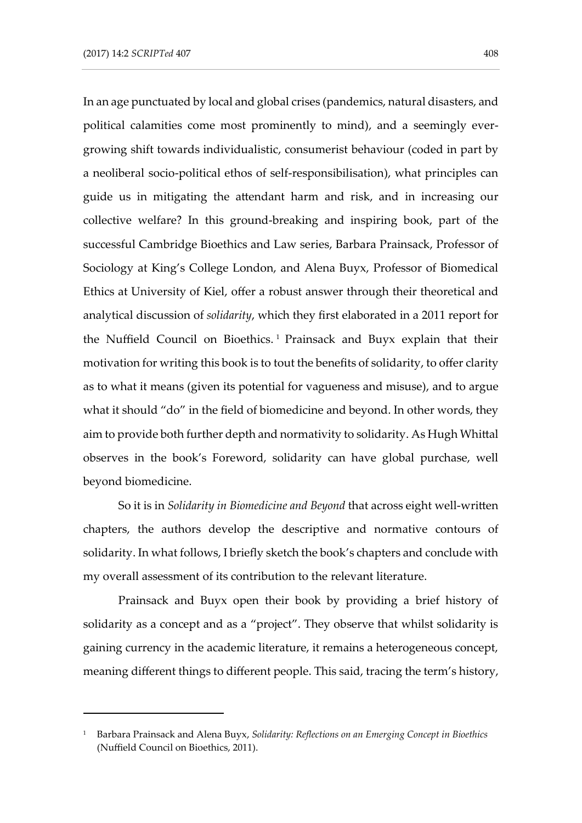-

In an age punctuated by local and global crises (pandemics, natural disasters, and political calamities come most prominently to mind), and a seemingly evergrowing shift towards individualistic, consumerist behaviour (coded in part by a neoliberal socio-political ethos of self-responsibilisation), what principles can guide us in mitigating the attendant harm and risk, and in increasing our collective welfare? In this ground-breaking and inspiring book, part of the successful Cambridge Bioethics and Law series, Barbara Prainsack, Professor of Sociology at King's College London, and Alena Buyx, Professor of Biomedical Ethics at University of Kiel, offer a robust answer through their theoretical and analytical discussion of *solidarity*, which they first elaborated in a 2011 report for the Nuffield Council on Bioethics. 1 Prainsack and Buyx explain that their motivation for writing this book is to tout the benefits of solidarity, to offer clarity as to what it means (given its potential for vagueness and misuse), and to argue what it should "do" in the field of biomedicine and beyond. In other words, they aim to provide both further depth and normativity to solidarity. As Hugh Whittal observes in the book's Foreword, solidarity can have global purchase, well beyond biomedicine.

So it is in *Solidarity in Biomedicine and Beyond* that across eight well-written chapters, the authors develop the descriptive and normative contours of solidarity. In what follows, I briefly sketch the book's chapters and conclude with my overall assessment of its contribution to the relevant literature.

Prainsack and Buyx open their book by providing a brief history of solidarity as a concept and as a "project". They observe that whilst solidarity is gaining currency in the academic literature, it remains a heterogeneous concept, meaning different things to different people. This said, tracing the term's history,

<sup>1</sup> Barbara Prainsack and Alena Buyx, *Solidarity: Reflections on an Emerging Concept in Bioethics* (Nuffield Council on Bioethics, 2011).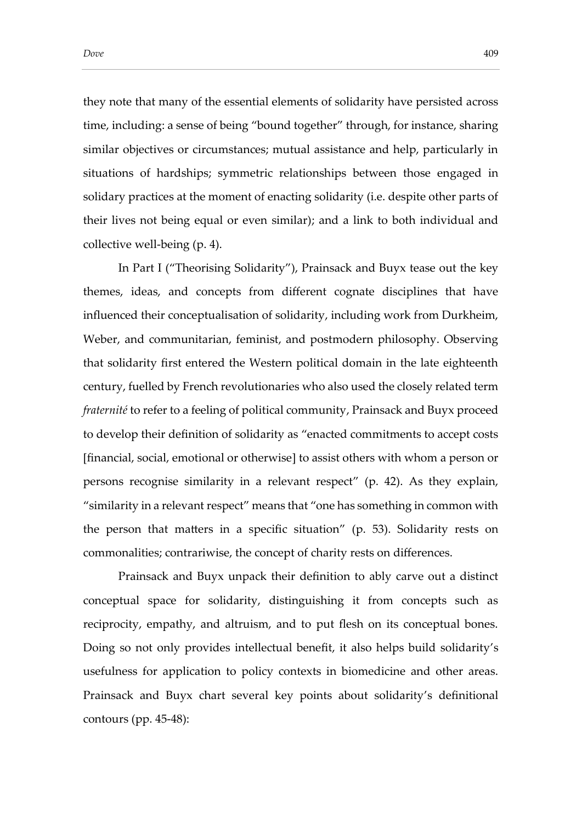they note that many of the essential elements of solidarity have persisted across time, including: a sense of being "bound together" through, for instance, sharing similar objectives or circumstances; mutual assistance and help, particularly in situations of hardships; symmetric relationships between those engaged in solidary practices at the moment of enacting solidarity (i.e. despite other parts of their lives not being equal or even similar); and a link to both individual and collective well-being (p. 4).

In Part I ("Theorising Solidarity"), Prainsack and Buyx tease out the key themes, ideas, and concepts from different cognate disciplines that have influenced their conceptualisation of solidarity, including work from Durkheim, Weber, and communitarian, feminist, and postmodern philosophy. Observing that solidarity first entered the Western political domain in the late eighteenth century, fuelled by French revolutionaries who also used the closely related term *fraternité* to refer to a feeling of political community, Prainsack and Buyx proceed to develop their definition of solidarity as "enacted commitments to accept costs [financial, social, emotional or otherwise] to assist others with whom a person or persons recognise similarity in a relevant respect" (p. 42). As they explain, "similarity in a relevant respect" means that "one has something in common with the person that matters in a specific situation" (p. 53). Solidarity rests on commonalities; contrariwise, the concept of charity rests on differences.

Prainsack and Buyx unpack their definition to ably carve out a distinct conceptual space for solidarity, distinguishing it from concepts such as reciprocity, empathy, and altruism, and to put flesh on its conceptual bones. Doing so not only provides intellectual benefit, it also helps build solidarity's usefulness for application to policy contexts in biomedicine and other areas. Prainsack and Buyx chart several key points about solidarity's definitional contours (pp. 45-48):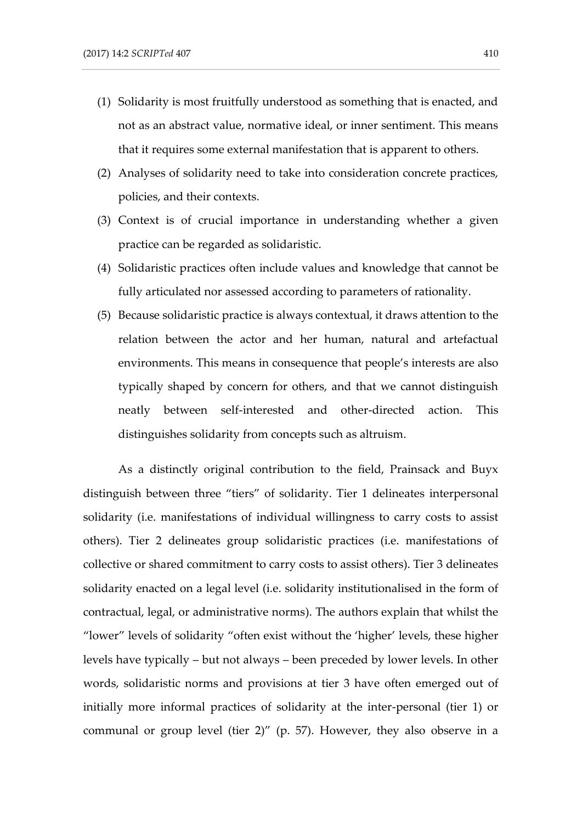- (1) Solidarity is most fruitfully understood as something that is enacted, and not as an abstract value, normative ideal, or inner sentiment. This means that it requires some external manifestation that is apparent to others.
- (2) Analyses of solidarity need to take into consideration concrete practices, policies, and their contexts.
- (3) Context is of crucial importance in understanding whether a given practice can be regarded as solidaristic.
- (4) Solidaristic practices often include values and knowledge that cannot be fully articulated nor assessed according to parameters of rationality.
- (5) Because solidaristic practice is always contextual, it draws attention to the relation between the actor and her human, natural and artefactual environments. This means in consequence that people's interests are also typically shaped by concern for others, and that we cannot distinguish neatly between self-interested and other-directed action. This distinguishes solidarity from concepts such as altruism.

As a distinctly original contribution to the field, Prainsack and Buyx distinguish between three "tiers" of solidarity. Tier 1 delineates interpersonal solidarity (i.e. manifestations of individual willingness to carry costs to assist others). Tier 2 delineates group solidaristic practices (i.e. manifestations of collective or shared commitment to carry costs to assist others). Tier 3 delineates solidarity enacted on a legal level (i.e. solidarity institutionalised in the form of contractual, legal, or administrative norms). The authors explain that whilst the "lower" levels of solidarity "often exist without the 'higher' levels, these higher levels have typically – but not always – been preceded by lower levels. In other words, solidaristic norms and provisions at tier 3 have often emerged out of initially more informal practices of solidarity at the inter-personal (tier 1) or communal or group level (tier 2)" (p. 57). However, they also observe in a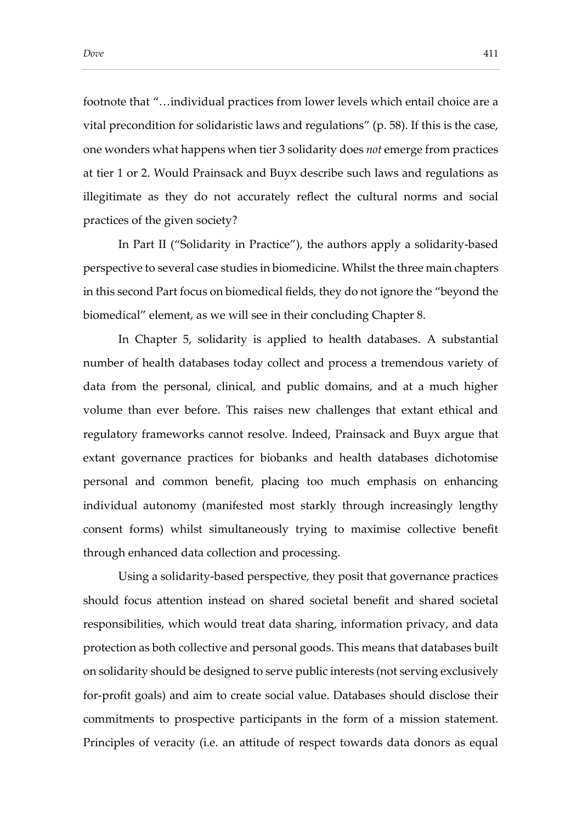footnote that "…individual practices from lower levels which entail choice are a vital precondition for solidaristic laws and regulations" (p. 58). If this is the case, one wonders what happens when tier 3 solidarity does *not* emerge from practices at tier 1 or 2. Would Prainsack and Buyx describe such laws and regulations as illegitimate as they do not accurately reflect the cultural norms and social practices of the given society?

In Part II ("Solidarity in Practice"), the authors apply a solidarity-based perspective to several case studies in biomedicine. Whilst the three main chapters in this second Part focus on biomedical fields, they do not ignore the "beyond the biomedical" element, as we will see in their concluding Chapter 8.

In Chapter 5, solidarity is applied to health databases. A substantial number of health databases today collect and process a tremendous variety of data from the personal, clinical, and public domains, and at a much higher volume than ever before. This raises new challenges that extant ethical and regulatory frameworks cannot resolve. Indeed, Prainsack and Buyx argue that extant governance practices for biobanks and health databases dichotomise personal and common benefit, placing too much emphasis on enhancing individual autonomy (manifested most starkly through increasingly lengthy consent forms) whilst simultaneously trying to maximise collective benefit through enhanced data collection and processing.

Using a solidarity-based perspective, they posit that governance practices should focus attention instead on shared societal benefit and shared societal responsibilities, which would treat data sharing, information privacy, and data protection as both collective and personal goods. This means that databases built on solidarity should be designed to serve public interests (not serving exclusively for-profit goals) and aim to create social value. Databases should disclose their commitments to prospective participants in the form of a mission statement. Principles of veracity (i.e. an attitude of respect towards data donors as equal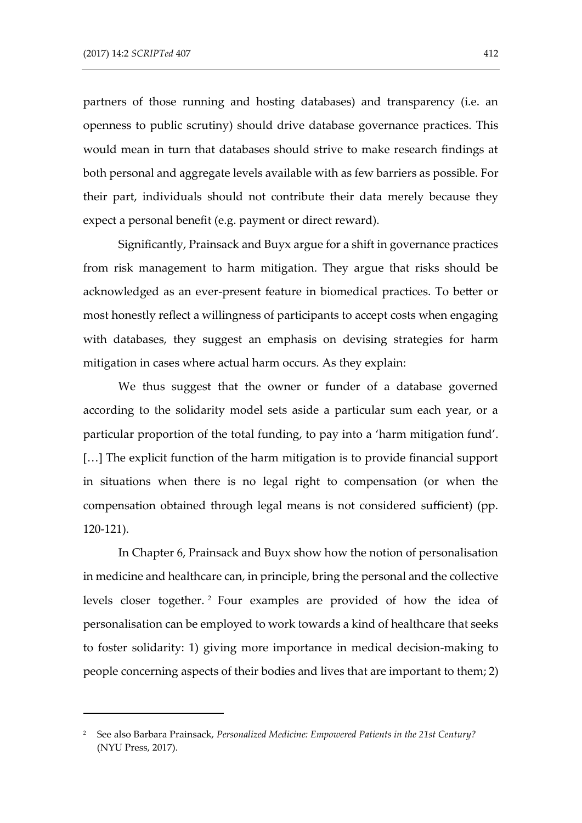-

partners of those running and hosting databases) and transparency (i.e. an openness to public scrutiny) should drive database governance practices. This would mean in turn that databases should strive to make research findings at both personal and aggregate levels available with as few barriers as possible. For their part, individuals should not contribute their data merely because they expect a personal benefit (e.g. payment or direct reward).

Significantly, Prainsack and Buyx argue for a shift in governance practices from risk management to harm mitigation. They argue that risks should be acknowledged as an ever-present feature in biomedical practices. To better or most honestly reflect a willingness of participants to accept costs when engaging with databases, they suggest an emphasis on devising strategies for harm mitigation in cases where actual harm occurs. As they explain:

We thus suggest that the owner or funder of a database governed according to the solidarity model sets aside a particular sum each year, or a particular proportion of the total funding, to pay into a 'harm mitigation fund'. [...] The explicit function of the harm mitigation is to provide financial support in situations when there is no legal right to compensation (or when the compensation obtained through legal means is not considered sufficient) (pp. 120-121).

In Chapter 6, Prainsack and Buyx show how the notion of personalisation in medicine and healthcare can, in principle, bring the personal and the collective levels closer together. <sup>2</sup> Four examples are provided of how the idea of personalisation can be employed to work towards a kind of healthcare that seeks to foster solidarity: 1) giving more importance in medical decision-making to people concerning aspects of their bodies and lives that are important to them; 2)

<sup>2</sup> See also Barbara Prainsack, *Personalized Medicine: Empowered Patients in the 21st Century?* (NYU Press, 2017).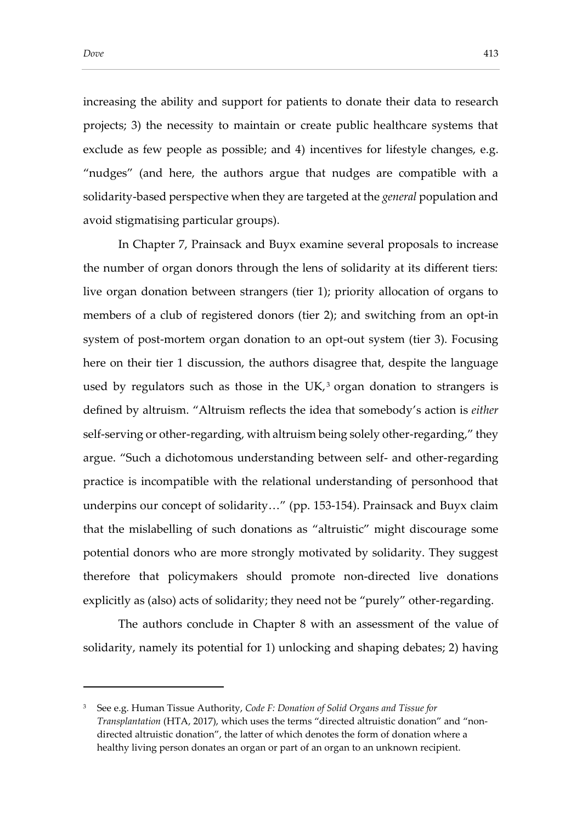-

increasing the ability and support for patients to donate their data to research projects; 3) the necessity to maintain or create public healthcare systems that exclude as few people as possible; and 4) incentives for lifestyle changes, e.g. "nudges" (and here, the authors argue that nudges are compatible with a solidarity-based perspective when they are targeted at the *general* population and avoid stigmatising particular groups).

In Chapter 7, Prainsack and Buyx examine several proposals to increase the number of organ donors through the lens of solidarity at its different tiers: live organ donation between strangers (tier 1); priority allocation of organs to members of a club of registered donors (tier 2); and switching from an opt-in system of post-mortem organ donation to an opt-out system (tier 3). Focusing here on their tier 1 discussion, the authors disagree that, despite the language used by regulators such as those in the UK, $^3$  organ donation to strangers is defined by altruism. "Altruism reflects the idea that somebody's action is *either*  self-serving or other-regarding, with altruism being solely other-regarding," they argue. "Such a dichotomous understanding between self- and other-regarding practice is incompatible with the relational understanding of personhood that underpins our concept of solidarity…" (pp. 153-154). Prainsack and Buyx claim that the mislabelling of such donations as "altruistic" might discourage some potential donors who are more strongly motivated by solidarity. They suggest therefore that policymakers should promote non-directed live donations explicitly as (also) acts of solidarity; they need not be "purely" other-regarding.

The authors conclude in Chapter 8 with an assessment of the value of solidarity, namely its potential for 1) unlocking and shaping debates; 2) having

<sup>3</sup> See e.g. Human Tissue Authority, *Code F: Donation of Solid Organs and Tissue for Transplantation* (HTA, 2017), which uses the terms "directed altruistic donation" and "nondirected altruistic donation", the latter of which denotes the form of donation where a healthy living person donates an organ or part of an organ to an unknown recipient.